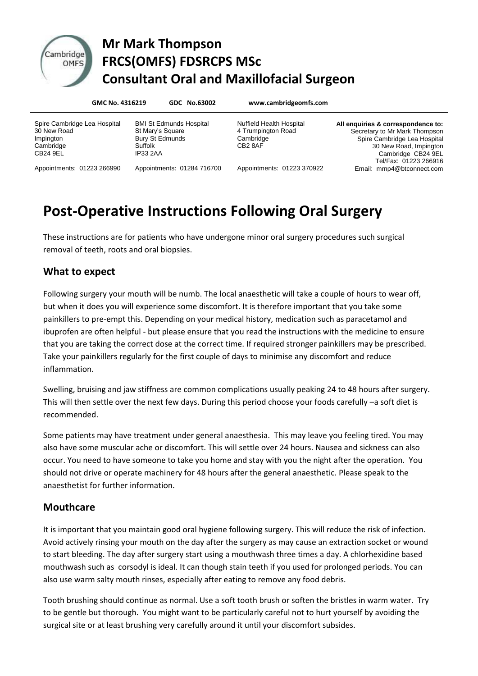

## Cambridge Mr Mark Thompson **DITIGDE FRCS(OMFS) FDSRCPS MSc Consultant Oral and Maxillofacial Surgeon**

|                                                                                   | GMC No. 4316219 |                                                                                                            | GDC No.63002               | www.cambridgeomfs.com                                                                     |                                                                                                                                                                              |
|-----------------------------------------------------------------------------------|-----------------|------------------------------------------------------------------------------------------------------------|----------------------------|-------------------------------------------------------------------------------------------|------------------------------------------------------------------------------------------------------------------------------------------------------------------------------|
| Spire Cambridge Lea Hospital<br>30 New Road<br>Impington<br>Cambridge<br>CB24 9EL |                 | <b>BMI St Edmunds Hospital</b><br>St Mary's Square<br><b>Bury St Edmunds</b><br>Suffolk<br><b>IP33 2AA</b> |                            | <b>Nuffield Health Hospital</b><br>4 Trumpington Road<br>Cambridge<br>CB <sub>2</sub> 8AF | All enquiries & correspondence to:<br>Secretary to Mr Mark Thompson<br>Spire Cambridge Lea Hospital<br>30 New Road, Impington<br>Cambridge CB24 9EL<br>Tel/Fax: 01223 266916 |
| Appointments: 01223 266990                                                        |                 |                                                                                                            | Appointments: 01284 716700 | Appointments: 01223 370922                                                                | Email: mmp4@btconnect.com                                                                                                                                                    |

# **Post-Operative Instructions Following Oral Surgery**

These instructions are for patients who have undergone minor oral surgery procedures such surgical removal of teeth, roots and oral biopsies.

#### **What to expect**

Following surgery your mouth will be numb. The local anaesthetic will take a couple of hours to wear off, but when it does you will experience some discomfort. It is therefore important that you take some painkillers to pre-empt this. Depending on your medical history, medication such as paracetamol and ibuprofen are often helpful - but please ensure that you read the instructions with the medicine to ensure that you are taking the correct dose at the correct time. If required stronger painkillers may be prescribed. Take your painkillers regularly for the first couple of days to minimise any discomfort and reduce inflammation.

Swelling, bruising and jaw stiffness are common complications usually peaking 24 to 48 hours after surgery. This will then settle over the next few days. During this period choose your foods carefully –a soft diet is recommended.

Some patients may have treatment under general anaesthesia. This may leave you feeling tired. You may also have some muscular ache or discomfort. This will settle over 24 hours. Nausea and sickness can also occur. You need to have someone to take you home and stay with you the night after the operation. You should not drive or operate machinery for 48 hours after the general anaesthetic. Please speak to the anaesthetist for further information.

#### **Mouthcare**

It is important that you maintain good oral hygiene following surgery. This will reduce the risk of infection. Avoid actively rinsing your mouth on the day after the surgery as may cause an extraction socket or wound to start bleeding. The day after surgery start using a mouthwash three times a day. A chlorhexidine based mouthwash such as corsodyl is ideal. It can though stain teeth if you used for prolonged periods. You can also use warm salty mouth rinses, especially after eating to remove any food debris.

Tooth brushing should continue as normal. Use a soft tooth brush or soften the bristles in warm water. Try to be gentle but thorough. You might want to be particularly careful not to hurt yourself by avoiding the surgical site or at least brushing very carefully around it until your discomfort subsides.